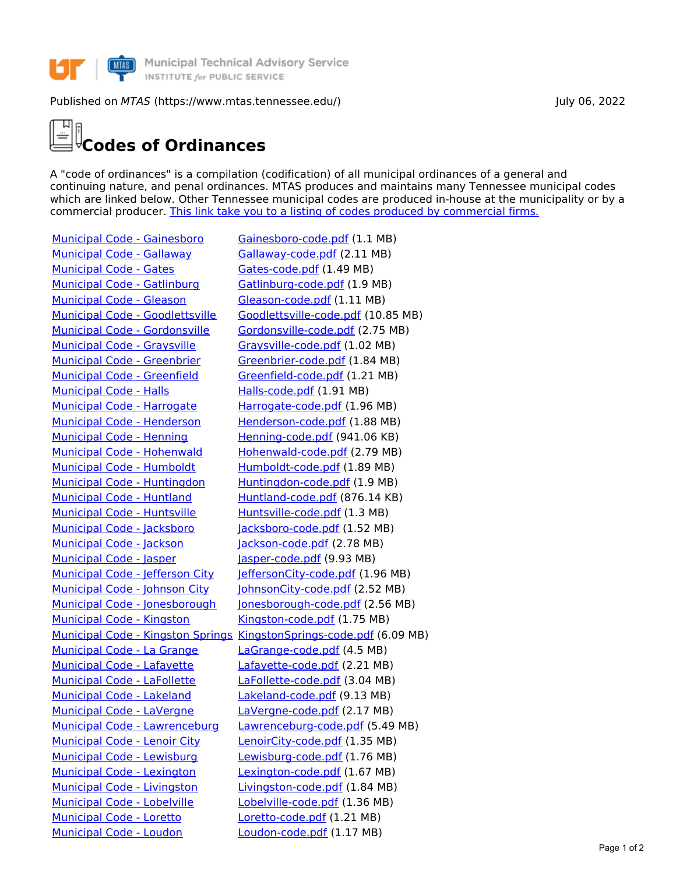

## Published on *MTAS* (https://www.mtas.tennessee.edu/) July 06, 2022

## **Codes of Ordinances**

A "code of ordinances" is a compilation (codification) of all municipal ordinances of a general and continuing nature, and penal ordinances. MTAS produces and maintains many Tennessee municipal codes which are linked below. Other Tennessee municipal codes are produced in-house at the municipality or by a commercial producer. This link take you to a listing of codes produced by [commercial](https://www.mtas.tennessee.edu/codes-not-produced-mtas) firms.

[Municipal](https://www.mtas.tennessee.edu/code/municipal-code-gallaway) Code - Gallaway [Gallaway-code.pdf](https://www.mtas.tennessee.edu/system/files/codes/combined/Gallaway-code.pdf) (2.11 MB) [Municipal](https://www.mtas.tennessee.edu/code/municipal-code-gates) Code - Gates [Gates-code.pdf](https://www.mtas.tennessee.edu/system/files/codes/combined/Gates-code.pdf) (1.49 MB) Municipal Code - [Gatlinburg](https://www.mtas.tennessee.edu/code/municipal-code-gatlinburg) [Gatlinburg-code.pdf](https://www.mtas.tennessee.edu/system/files/codes/combined/Gatlinburg-code.pdf) (1.9 MB) [Municipal](https://www.mtas.tennessee.edu/code/municipal-code-gleason) Code - Gleason [Gleason-code.pdf](https://www.mtas.tennessee.edu/system/files/codes/combined/Gleason-code.pdf) (1.11 MB) Municipal Code - [Graysville](https://www.mtas.tennessee.edu/code/municipal-code-graysville) [Graysville-code.pdf](https://www.mtas.tennessee.edu/system/files/codes/combined/Graysville-code.pdf) (1.02 MB) Municipal Code - [Greenbrier](https://www.mtas.tennessee.edu/code/municipal-code-greenbrier) [Greenbrier-code.pdf](https://www.mtas.tennessee.edu/system/files/codes/combined/Greenbrier-code.pdf) (1.84 MB) Municipal Code - [Greenfield](https://www.mtas.tennessee.edu/code/municipal-code-greenfield) [Greenfield-code.pdf](https://www.mtas.tennessee.edu/system/files/codes/combined/Greenfield-code.pdf) (1.21 MB) [Municipal](https://www.mtas.tennessee.edu/code/municipal-code-halls) Code - Halls [Halls-code.pdf](https://www.mtas.tennessee.edu/system/files/codes/combined/Halls-code.pdf) (1.91 MB) Municipal Code - [Harrogate](https://www.mtas.tennessee.edu/code/municipal-code-harrogate) [Harrogate-code.pdf](https://www.mtas.tennessee.edu/system/files/codes/combined/Harrogate-code.pdf) (1.96 MB) Municipal Code - [Henderson](https://www.mtas.tennessee.edu/code/municipal-code-henderson) [Henderson-code.pdf](https://www.mtas.tennessee.edu/system/files/codes/combined/Henderson-code.pdf) (1.88 MB) [Municipal](https://www.mtas.tennessee.edu/code/municipal-code-henning) Code - Henning [Henning-code.pdf](https://www.mtas.tennessee.edu/system/files/codes/combined/Henning-code.pdf) (941.06 KB) Municipal Code - [Hohenwald](https://www.mtas.tennessee.edu/code/municipal-code-hohenwald) [Hohenwald-code.pdf](https://www.mtas.tennessee.edu/system/files/codes/combined/Hohenwald-code.pdf) (2.79 MB) Municipal Code - [Humboldt](https://www.mtas.tennessee.edu/code/municipal-code-humboldt) [Humboldt-code.pdf](https://www.mtas.tennessee.edu/system/files/codes/combined/Humboldt-code.pdf) (1.89 MB) Municipal Code - [Huntingdon](https://www.mtas.tennessee.edu/code/municipal-code-huntingdon) [Huntingdon-code.pdf](https://www.mtas.tennessee.edu/system/files/codes/combined/Huntingdon-code.pdf) (1.9 MB) [Municipal](https://www.mtas.tennessee.edu/code/municipal-code-huntland) Code - Huntland [Huntland-code.pdf](https://www.mtas.tennessee.edu/system/files/codes/combined/Huntland-code.pdf) (876.14 KB) Municipal Code - [Huntsville](https://www.mtas.tennessee.edu/code/municipal-code-huntsville) [Huntsville-code.pdf](https://www.mtas.tennessee.edu/system/files/codes/combined/Huntsville-code.pdf) (1.3 MB) Municipal Code - [Jacksboro](https://www.mtas.tennessee.edu/code/municipal-code-jacksboro) [Jacksboro-code.pdf](https://www.mtas.tennessee.edu/system/files/codes/combined/Jacksboro-code.pdf) (1.52 MB) [Municipal](https://www.mtas.tennessee.edu/code/municipal-code-jackson) Code - Jackson [Jackson-code.pdf](https://www.mtas.tennessee.edu/system/files/codes/combined/Jackson-code.pdf) (2.78 MB) [Municipal](https://www.mtas.tennessee.edu/code/municipal-code-jasper) Code - Jasper Municipal Code - Jasper [Jasper-code.pdf](https://www.mtas.tennessee.edu/system/files/codes/combined/Jasper-code.pdf) (9.93 MB) [Municipal](https://www.mtas.tennessee.edu/code/municipal-code-kingston) Code - Kingston Municipal Code - [Kingston-code.pdf](https://www.mtas.tennessee.edu/system/files/codes/combined/Kingston-code.pdf) (1.75 MB) [Municipal](https://www.mtas.tennessee.edu/code/municipal-code-la-grange) Code - La Grange [LaGrange-code.pdf](https://www.mtas.tennessee.edu/system/files/codes/combined/LaGrange-code.pdf) (4.5 MB) [Municipal](https://www.mtas.tennessee.edu/code/municipal-code-lafayette) Code - Lafayette [Lafayette-code.pdf](https://www.mtas.tennessee.edu/system/files/codes/combined/Lafayette-code.pdf) (2.21 MB) Municipal Code - [LaFollette](https://www.mtas.tennessee.edu/code/municipal-code-lafollette) [LaFollette-code.pdf](https://www.mtas.tennessee.edu/system/files/codes/combined/LaFollette-code.pdf) (3.04 MB) [Municipal](https://www.mtas.tennessee.edu/code/municipal-code-lakeland) Code - Lakeland [Lakeland-code.pdf](https://www.mtas.tennessee.edu/system/files/codes/combined/Lakeland-code.pdf) (9.13 MB) [Municipal](https://www.mtas.tennessee.edu/code/municipal-code-lavergne) Code - LaVergne [LaVergne-code.pdf](https://www.mtas.tennessee.edu/system/files/codes/combined/LaVergne-code.pdf) (2.17 MB) [Municipal](https://www.mtas.tennessee.edu/code/municipal-code-lenoir-city) Code - Lenoir City [LenoirCity-code.pdf](https://www.mtas.tennessee.edu/system/files/codes/combined/LenoirCity-code.pdf) (1.35 MB) Municipal Code - [Lewisburg](https://www.mtas.tennessee.edu/code/municipal-code-lewisburg) [Lewisburg-code.pdf](https://www.mtas.tennessee.edu/system/files/codes/combined/Lewisburg-code.pdf) (1.76 MB) Municipal Code - [Lexington](https://www.mtas.tennessee.edu/code/municipal-code-lexington) [Lexington-code.pdf](https://www.mtas.tennessee.edu/system/files/codes/combined/Lexington-code.pdf) (1.67 MB) Municipal Code - [Livingston](https://www.mtas.tennessee.edu/code/municipal-code-livingston) [Livingston-code.pdf](https://www.mtas.tennessee.edu/system/files/codes/combined/Livingston-code.pdf) (1.84 MB) [Municipal](https://www.mtas.tennessee.edu/code/municipal-code-lobelville) Code - Lobelville [Lobelville-code.pdf](https://www.mtas.tennessee.edu/system/files/codes/combined/Lobelville-code.pdf) (1.36 MB) [Municipal](https://www.mtas.tennessee.edu/code/municipal-code-loretto) Code - Loretto [Loretto-code.pdf](https://www.mtas.tennessee.edu/system/files/codes/combined/Loretto-code.pdf) (1.21 MB) [Municipal](https://www.mtas.tennessee.edu/code/municipal-code-loudon) Code - Loudon [Loudon-code.pdf](https://www.mtas.tennessee.edu/system/files/codes/combined/Loudon-code.pdf) (1.17 MB)

Municipal Code - [Gainesboro](https://www.mtas.tennessee.edu/code/municipal-code-gainesboro) [Gainesboro-code.pdf](https://www.mtas.tennessee.edu/system/files/codes/combined/Gainesboro-code.pdf) (1.1 MB) Municipal Code - [Goodlettsville](https://www.mtas.tennessee.edu/code/municipal-code-goodlettsville) [Goodlettsville-code.pdf](https://www.mtas.tennessee.edu/system/files/codes/combined/Goodlettsville-code.pdf) (10.85 MB) Municipal Code - [Gordonsville](https://www.mtas.tennessee.edu/code/municipal-code-gordonsville) [Gordonsville-code.pdf](https://www.mtas.tennessee.edu/system/files/codes/combined/Gordonsville-code.pdf) (2.75 MB) [Municipal](https://www.mtas.tennessee.edu/code/municipal-code-jefferson-city) Code - Jefferson City [JeffersonCity-code.pdf](https://www.mtas.tennessee.edu/system/files/codes/combined/JeffersonCity-code.pdf) (1.96 MB) [Municipal](https://www.mtas.tennessee.edu/code/municipal-code-johnson-city) Code - Johnson City [JohnsonCity-code.pdf](https://www.mtas.tennessee.edu/system/files/codes/combined/JohnsonCity-code.pdf) (2.52 MB) Municipal Code - [Jonesborough](https://www.mtas.tennessee.edu/code/municipal-code-jonesborough) [Jonesborough-code.pdf](https://www.mtas.tennessee.edu/system/files/codes/combined/Jonesborough-code.pdf) (2.56 MB) [Municipal](https://www.mtas.tennessee.edu/code/municipal-code-kingston-springs) Code - Kingston Springs [KingstonSprings-code.pdf](https://www.mtas.tennessee.edu/system/files/codes/combined/KingstonSprings-code.pdf) (6.09 MB) Municipal Code - [Lawrenceburg](https://www.mtas.tennessee.edu/code/municipal-code-lawrenceburg) [Lawrenceburg-code.pdf](https://www.mtas.tennessee.edu/system/files/codes/combined/Lawrenceburg-code.pdf) (5.49 MB)